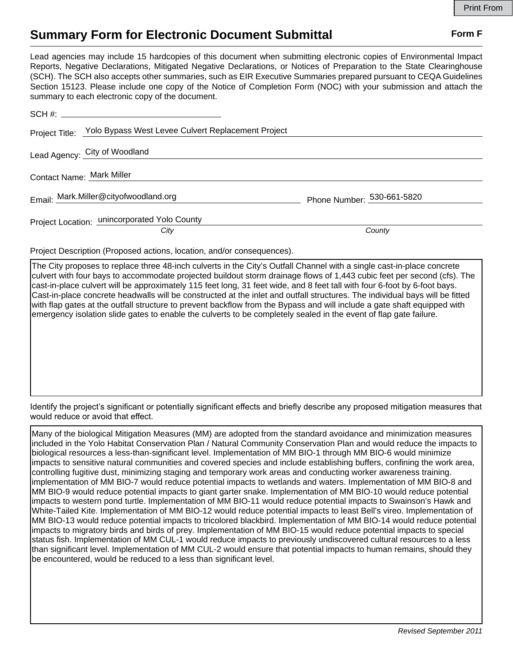## **Summary Form for Electronic Document Submittal Form F Form F**

Lead agencies may include 15 hardcopies of this document when submitting electronic copies of Environmental Impact Reports, Negative Declarations, Mitigated Negative Declarations, or Notices of Preparation to the State Clearinghouse (SCH). The SCH also accepts other summaries, such as EIR Executive Summaries prepared pursuant to CEQA Guidelines Section 15123. Please include one copy of the Notice of Completion Form (NOC) with your submission and attach the summary to each electronic copy of the document.

|                           | Project Title: Yolo Bypass West Levee Culvert Replacement Project |                            |
|---------------------------|-------------------------------------------------------------------|----------------------------|
|                           | Lead Agency: City of Woodland                                     |                            |
| Contact Name: Mark Miller |                                                                   |                            |
|                           | Email: Mark.Miller@cityofwoodland.org                             | Phone Number: 530-661-5820 |
|                           | Project Location: unincorporated Yolo County<br>City              | County                     |

Project Description (Proposed actions, location, and/or consequences).

The City proposes to replace three 48-inch culverts in the City's Outfall Channel with a single cast-in-place concrete culvert with four bays to accommodate projected buildout storm drainage flows of 1,443 cubic feet per second (cfs). The cast-in-place culvert will be approximately 115 feet long, 31 feet wide, and 8 feet tall with four 6-foot by 6-foot bays. Cast-in-place concrete headwalls will be constructed at the inlet and outfall structures. The individual bays will be fitted with flap gates at the outfall structure to prevent backflow from the Bypass and will include a gate shaft equipped with emergency isolation slide gates to enable the culverts to be completely sealed in the event of flap gate failure.

Identify the project's significant or potentially significant effects and briefly describe any proposed mitigation measures that would reduce or avoid that effect.

Many of the biological Mitigation Measures (MM) are adopted from the standard avoidance and minimization measures included in the Yolo Habitat Conservation Plan / Natural Community Conservation Plan and would reduce the impacts to biological resources a less-than-significant level. Implementation of MM BIO-1 through MM BIO-6 would minimize impacts to sensitive natural communities and covered species and include establishing buffers, confining the work area, controlling fugitive dust, minimizing staging and temporary work areas and conducting worker awareness training. implementation of MM BIO-7 would reduce potential impacts to wetlands and waters. Implementation of MM BIO-8 and MM BIO-9 would reduce potential impacts to giant garter snake. Implementation of MM BIO-10 would reduce potential impacts to western pond turtle. Implementation of MM BIO-11 would reduce potential impacts to Swainson's Hawk and White-Tailed Kite. Implementation of MM BIO-12 would reduce potential impacts to least Bell's vireo. Implementation of MM BIO-13 would reduce potential impacts to tricolored blackbird. Implementation of MM BIO-14 would reduce potential impacts to migratory birds and birds of prey. Implementation of MM BIO-15 would reduce potential impacts to special status fish. Implementation of MM CUL-1 would reduce impacts to previously undiscovered cultural resources to a less than significant level. Implementation of MM CUL-2 would ensure that potential impacts to human remains, should they be encountered, would be reduced to a less than significant level.